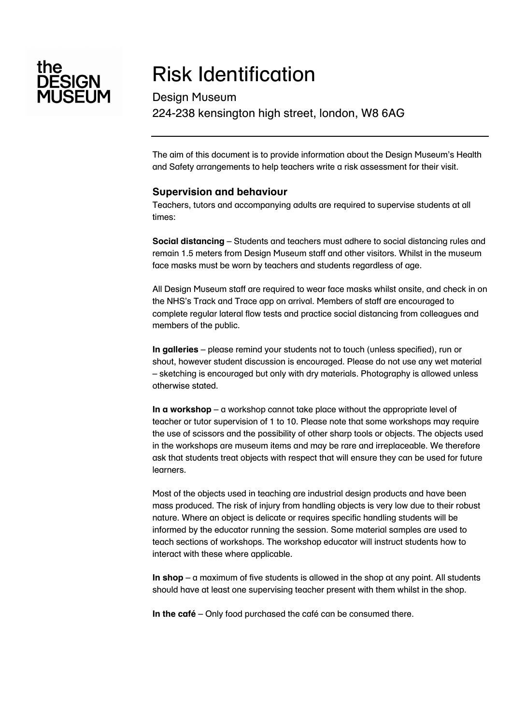

# Risk Identification

Design Museum 224-238 kensington high street, london, W8 6AG

The aim of this document is to provide information about the Design Museum's Health and Safety arrangements to help teachers write a risk assessment for their visit.

### **Supervision and behaviour**

Teachers, tutors and accompanying adults are required to supervise students at all times:

**Social distancing** – Students and teachers must adhere to social distancing rules and remain 1.5 meters from Design Museum staff and other visitors. Whilst in the museum face masks must be worn by teachers and students regardless of age.

All Design Museum staff are required to wear face masks whilst onsite, and check in on the NHS's Track and Trace app on arrival. Members of staff are encouraged to complete regular lateral flow tests and practice social distancing from colleagues and members of the public.

**In galleries** – please remind your students not to touch (unless specified), run or shout, however student discussion is encouraged. Please do not use any wet material – sketching is encouraged but only with dry materials. Photography is allowed unless otherwise stated.

**In a workshop** – a workshop cannot take place without the appropriate level of teacher or tutor supervision of 1 to 10. Please note that some workshops may require the use of scissors and the possibility of other sharp tools or objects. The objects used in the workshops are museum items and may be rare and irreplaceable. We therefore ask that students treat objects with respect that will ensure they can be used for future learners.

Most of the objects used in teaching are industrial design products and have been mass produced. The risk of injury from handling objects is very low due to their robust nature. Where an object is delicate or requires specific handling students will be informed by the educator running the session. Some material samples are used to teach sections of workshops. The workshop educator will instruct students how to interact with these where applicable.

**In shop** – a maximum of five students is allowed in the shop at any point. All students should have at least one supervising teacher present with them whilst in the shop.

**In the café** – Only food purchased the café can be consumed there.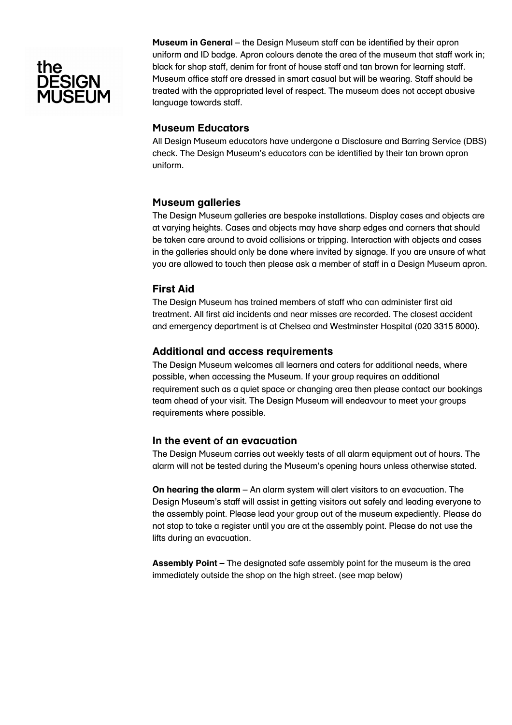## tne **ESIGN** II IŠĒI IM

**Museum in General** – the Design Museum staff can be identified by their apron uniform and ID badge. Apron colours denote the area of the museum that staff work in; black for shop staff, denim for front of house staff and tan brown for learning staff. Museum office staff are dressed in smart casual but will be wearing. Staff should be treated with the appropriated level of respect. The museum does not accept abusive language towards staff.

### **Museum Educators**

All Design Museum educators have undergone a Disclosure and Barring Service (DBS) check. The Design Museum's educators can be identified by their tan brown apron uniform.

### **Museum galleries**

The Design Museum galleries are bespoke installations. Display cases and objects are at varying heights. Cases and objects may have sharp edges and corners that should be taken care around to avoid collisions or tripping. Interaction with objects and cases in the galleries should only be done where invited by signage. If you are unsure of what you are allowed to touch then please ask a member of staff in a Design Museum apron.

### **First Aid**

The Design Museum has trained members of staff who can administer first aid treatment. All first aid incidents and near misses are recorded. The closest accident and emergency department is at Chelsea and Westminster Hospital (020 3315 8000).

### **Additional and access requirements**

The Design Museum welcomes all learners and caters for additional needs, where possible, when accessing the Museum. If your group requires an additional requirement such as a quiet space or changing area then please contact our bookings team ahead of your visit. The Design Museum will endeavour to meet your groups requirements where possible.

### **In the event of an evacuation**

The Design Museum carries out weekly tests of all alarm equipment out of hours. The alarm will not be tested during the Museum's opening hours unless otherwise stated.

**On hearing the alarm** – An alarm system will alert visitors to an evacuation. The Design Museum's staff will assist in getting visitors out safely and leading everyone to the assembly point. Please lead your group out of the museum expediently. Please do not stop to take a register until you are at the assembly point. Please do not use the lifts during an evacuation.

**Assembly Point –** The designated safe assembly point for the museum is the area immediately outside the shop on the high street. (see map below)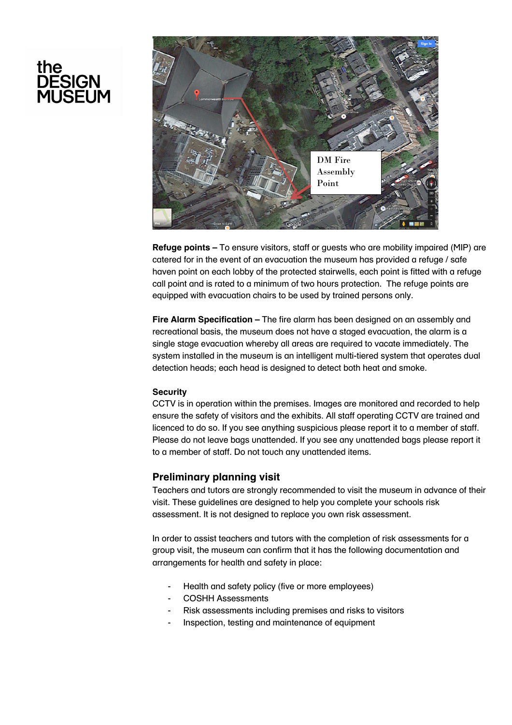# the<br>DESIGN<br>MUSEUM



**Refuge points –** To ensure visitors, staff or guests who are mobility impaired (MIP) are catered for in the event of an evacuation the museum has provided a refuge / safe haven point on each lobby of the protected stairwells, each point is fitted with a refuge call point and is rated to a minimum of two hours protection. The refuge points are equipped with evacuation chairs to be used by trained persons only.

**Fire Alarm Specification –** The fire alarm has been designed on an assembly and recreational basis, the museum does not have a staged evacuation, the alarm is a single stage evacuation whereby all areas are required to vacate immediately. The system installed in the museum is an intelligent multi-tiered system that operates dual detection heads; each head is designed to detect both heat and smoke.

#### **Security**

CCTV is in operation within the premises. Images are monitored and recorded to help ensure the safety of visitors and the exhibits. All staff operating CCTV are trained and licenced to do so. If you see anything suspicious please report it to a member of staff. Please do not leave bags unattended. If you see any unattended bags please report it to a member of staff. Do not touch any unattended items.

### **Preliminary planning visit**

Teachers and tutors are strongly recommended to visit the museum in advance of their visit. These guidelines are designed to help you complete your schools risk assessment. It is not designed to replace you own risk assessment.

In order to assist teachers and tutors with the completion of risk assessments for a group visit, the museum can confirm that it has the following documentation and arrangements for health and safety in place:

- Health and safety policy (five or more employees)
- COSHH Assessments
- Risk assessments including premises and risks to visitors
- Inspection, testing and maintenance of equipment